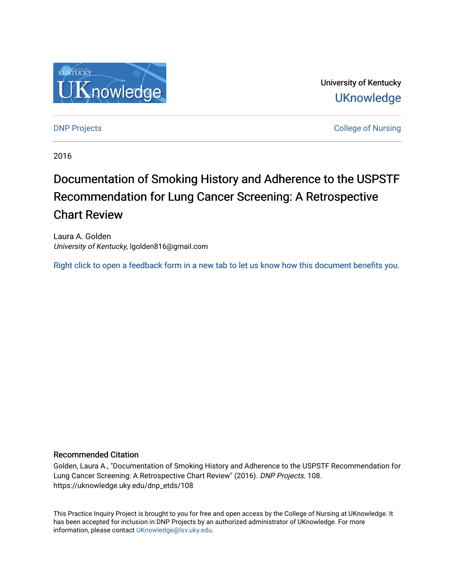

University of Kentucky **UKnowledge** 

**DNP Projects** College of Nursing

2016

# Documentation of Smoking History and Adherence to the USPSTF Recommendation for Lung Cancer Screening: A Retrospective Chart Review

Laura A. Golden University of Kentucky, lgolden816@gmail.com

[Right click to open a feedback form in a new tab to let us know how this document benefits you.](https://uky.az1.qualtrics.com/jfe/form/SV_9mq8fx2GnONRfz7)

#### Recommended Citation

Golden, Laura A., "Documentation of Smoking History and Adherence to the USPSTF Recommendation for Lung Cancer Screening: A Retrospective Chart Review" (2016). DNP Projects. 108. https://uknowledge.uky.edu/dnp\_etds/108

This Practice Inquiry Project is brought to you for free and open access by the College of Nursing at UKnowledge. It has been accepted for inclusion in DNP Projects by an authorized administrator of UKnowledge. For more information, please contact [UKnowledge@lsv.uky.edu](mailto:UKnowledge@lsv.uky.edu).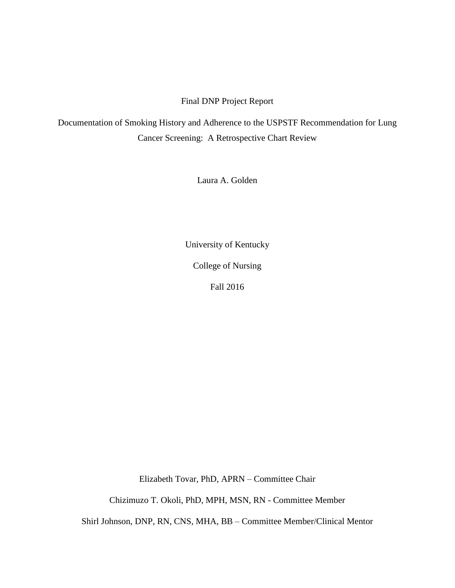### Final DNP Project Report

Documentation of Smoking History and Adherence to the USPSTF Recommendation for Lung Cancer Screening: A Retrospective Chart Review

Laura A. Golden

University of Kentucky

College of Nursing

Fall 2016

Elizabeth Tovar, PhD, APRN – Committee Chair

Chizimuzo T. Okoli, PhD, MPH, MSN, RN - Committee Member

Shirl Johnson, DNP, RN, CNS, MHA, BB – Committee Member/Clinical Mentor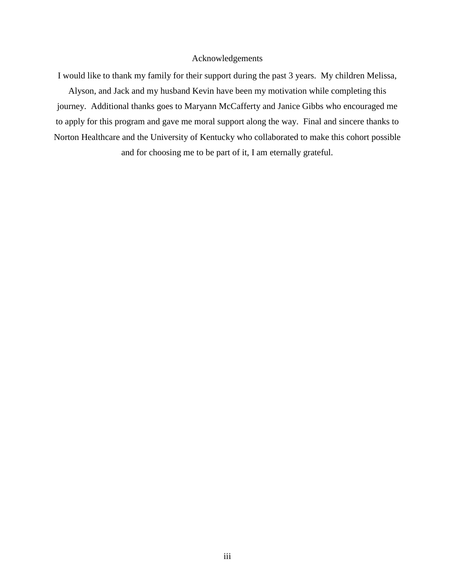#### Acknowledgements

I would like to thank my family for their support during the past 3 years. My children Melissa,

Alyson, and Jack and my husband Kevin have been my motivation while completing this journey. Additional thanks goes to Maryann McCafferty and Janice Gibbs who encouraged me to apply for this program and gave me moral support along the way. Final and sincere thanks to Norton Healthcare and the University of Kentucky who collaborated to make this cohort possible and for choosing me to be part of it, I am eternally grateful.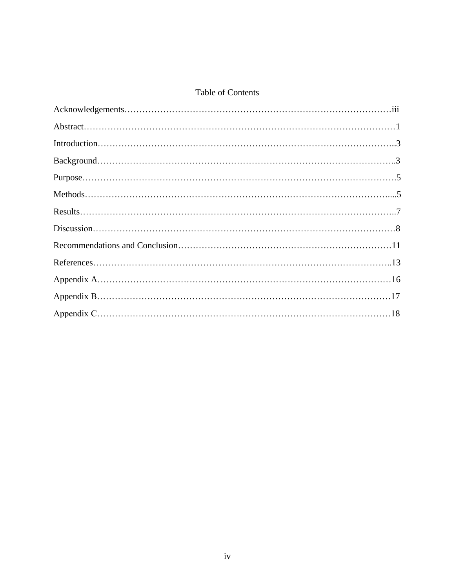# Table of Contents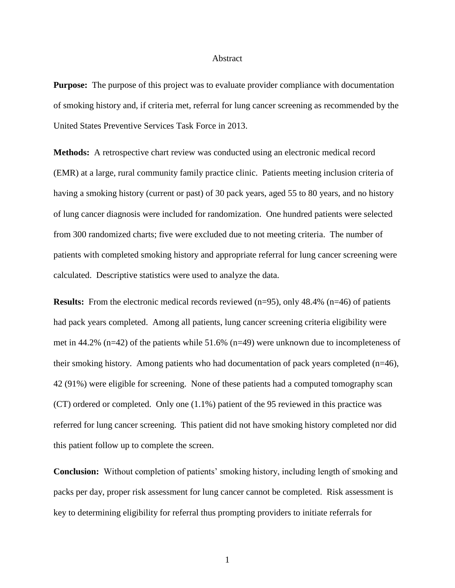#### Abstract

**Purpose:** The purpose of this project was to evaluate provider compliance with documentation of smoking history and, if criteria met, referral for lung cancer screening as recommended by the United States Preventive Services Task Force in 2013.

**Methods:** A retrospective chart review was conducted using an electronic medical record (EMR) at a large, rural community family practice clinic. Patients meeting inclusion criteria of having a smoking history (current or past) of 30 pack years, aged 55 to 80 years, and no history of lung cancer diagnosis were included for randomization. One hundred patients were selected from 300 randomized charts; five were excluded due to not meeting criteria. The number of patients with completed smoking history and appropriate referral for lung cancer screening were calculated. Descriptive statistics were used to analyze the data.

**Results:** From the electronic medical records reviewed (n=95), only 48.4% (n=46) of patients had pack years completed. Among all patients, lung cancer screening criteria eligibility were met in 44.2% (n=42) of the patients while 51.6% (n=49) were unknown due to incompleteness of their smoking history. Among patients who had documentation of pack years completed (n=46), 42 (91%) were eligible for screening. None of these patients had a computed tomography scan (CT) ordered or completed. Only one (1.1%) patient of the 95 reviewed in this practice was referred for lung cancer screening. This patient did not have smoking history completed nor did this patient follow up to complete the screen.

**Conclusion:** Without completion of patients' smoking history, including length of smoking and packs per day, proper risk assessment for lung cancer cannot be completed. Risk assessment is key to determining eligibility for referral thus prompting providers to initiate referrals for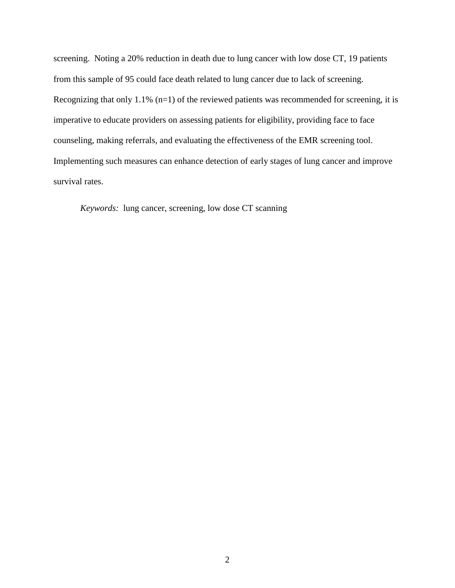screening. Noting a 20% reduction in death due to lung cancer with low dose CT, 19 patients from this sample of 95 could face death related to lung cancer due to lack of screening. Recognizing that only 1.1%  $(n=1)$  of the reviewed patients was recommended for screening, it is imperative to educate providers on assessing patients for eligibility, providing face to face counseling, making referrals, and evaluating the effectiveness of the EMR screening tool. Implementing such measures can enhance detection of early stages of lung cancer and improve survival rates.

*Keywords:* lung cancer, screening, low dose CT scanning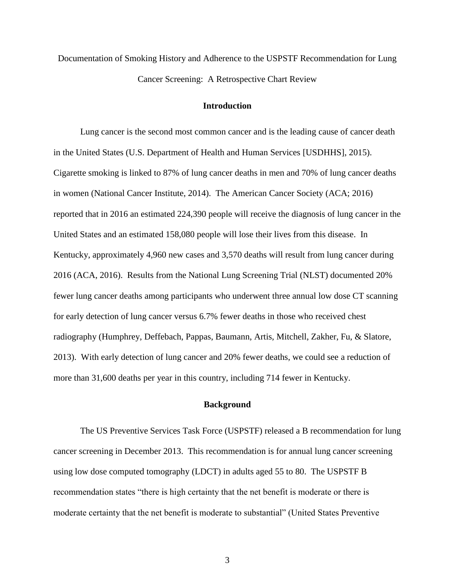Documentation of Smoking History and Adherence to the USPSTF Recommendation for Lung Cancer Screening: A Retrospective Chart Review

#### **Introduction**

Lung cancer is the second most common cancer and is the leading cause of cancer death in the United States (U.S. Department of Health and Human Services [USDHHS], 2015). Cigarette smoking is linked to 87% of lung cancer deaths in men and 70% of lung cancer deaths in women (National Cancer Institute, 2014). The American Cancer Society (ACA; 2016) reported that in 2016 an estimated 224,390 people will receive the diagnosis of lung cancer in the United States and an estimated 158,080 people will lose their lives from this disease. In Kentucky, approximately 4,960 new cases and 3,570 deaths will result from lung cancer during 2016 (ACA, 2016). Results from the National Lung Screening Trial (NLST) documented 20% fewer lung cancer deaths among participants who underwent three annual low dose CT scanning for early detection of lung cancer versus 6.7% fewer deaths in those who received chest radiography (Humphrey, Deffebach, Pappas, Baumann, Artis, Mitchell, Zakher, Fu, & Slatore, 2013). With early detection of lung cancer and 20% fewer deaths, we could see a reduction of more than 31,600 deaths per year in this country, including 714 fewer in Kentucky.

#### **Background**

The US Preventive Services Task Force (USPSTF) released a B recommendation for lung cancer screening in December 2013. This recommendation is for annual lung cancer screening using low dose computed tomography (LDCT) in adults aged 55 to 80. The USPSTF B recommendation states "there is high certainty that the net benefit is moderate or there is moderate certainty that the net benefit is moderate to substantial" (United States Preventive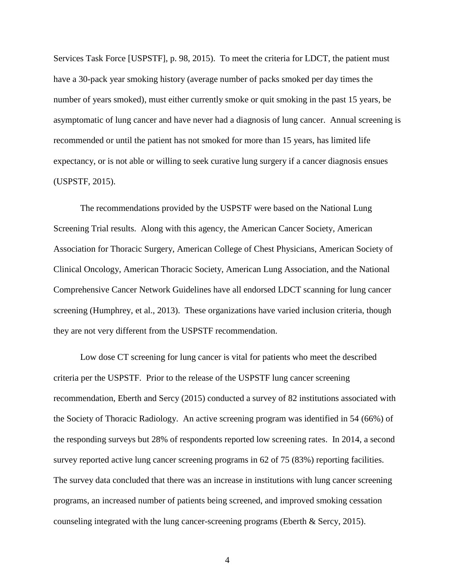Services Task Force [USPSTF], p. 98, 2015). To meet the criteria for LDCT, the patient must have a 30-pack year smoking history (average number of packs smoked per day times the number of years smoked), must either currently smoke or quit smoking in the past 15 years, be asymptomatic of lung cancer and have never had a diagnosis of lung cancer. Annual screening is recommended or until the patient has not smoked for more than 15 years, has limited life expectancy, or is not able or willing to seek curative lung surgery if a cancer diagnosis ensues (USPSTF, 2015).

The recommendations provided by the USPSTF were based on the National Lung Screening Trial results. Along with this agency, the American Cancer Society, American Association for Thoracic Surgery, American College of Chest Physicians, American Society of Clinical Oncology, American Thoracic Society, American Lung Association, and the National Comprehensive Cancer Network Guidelines have all endorsed LDCT scanning for lung cancer screening (Humphrey, et al., 2013). These organizations have varied inclusion criteria, though they are not very different from the USPSTF recommendation.

Low dose CT screening for lung cancer is vital for patients who meet the described criteria per the USPSTF. Prior to the release of the USPSTF lung cancer screening recommendation, Eberth and Sercy (2015) conducted a survey of 82 institutions associated with the Society of Thoracic Radiology. An active screening program was identified in 54 (66%) of the responding surveys but 28% of respondents reported low screening rates. In 2014, a second survey reported active lung cancer screening programs in 62 of 75 (83%) reporting facilities. The survey data concluded that there was an increase in institutions with lung cancer screening programs, an increased number of patients being screened, and improved smoking cessation counseling integrated with the lung cancer-screening programs (Eberth & Sercy, 2015).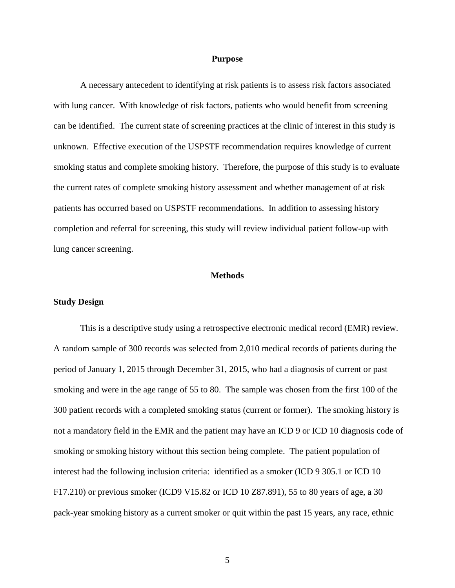#### **Purpose**

A necessary antecedent to identifying at risk patients is to assess risk factors associated with lung cancer. With knowledge of risk factors, patients who would benefit from screening can be identified. The current state of screening practices at the clinic of interest in this study is unknown. Effective execution of the USPSTF recommendation requires knowledge of current smoking status and complete smoking history. Therefore, the purpose of this study is to evaluate the current rates of complete smoking history assessment and whether management of at risk patients has occurred based on USPSTF recommendations. In addition to assessing history completion and referral for screening, this study will review individual patient follow-up with lung cancer screening.

#### **Methods**

#### **Study Design**

This is a descriptive study using a retrospective electronic medical record (EMR) review. A random sample of 300 records was selected from 2,010 medical records of patients during the period of January 1, 2015 through December 31, 2015, who had a diagnosis of current or past smoking and were in the age range of 55 to 80. The sample was chosen from the first 100 of the 300 patient records with a completed smoking status (current or former). The smoking history is not a mandatory field in the EMR and the patient may have an ICD 9 or ICD 10 diagnosis code of smoking or smoking history without this section being complete. The patient population of interest had the following inclusion criteria: identified as a smoker (ICD 9 305.1 or ICD 10 F17.210) or previous smoker (ICD9 V15.82 or ICD 10 Z87.891), 55 to 80 years of age, a 30 pack-year smoking history as a current smoker or quit within the past 15 years, any race, ethnic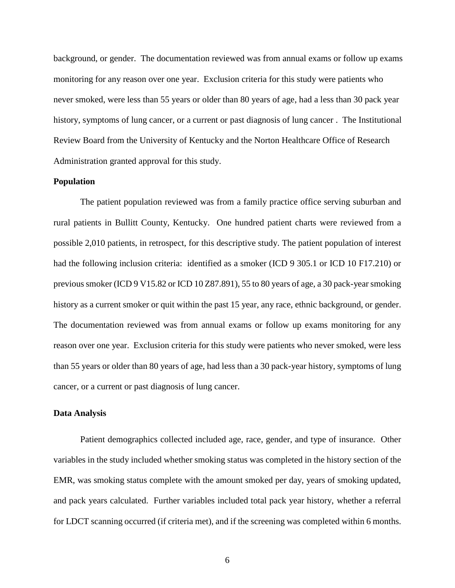background, or gender. The documentation reviewed was from annual exams or follow up exams monitoring for any reason over one year. Exclusion criteria for this study were patients who never smoked, were less than 55 years or older than 80 years of age, had a less than 30 pack year history, symptoms of lung cancer, or a current or past diagnosis of lung cancer . The Institutional Review Board from the University of Kentucky and the Norton Healthcare Office of Research Administration granted approval for this study.

#### **Population**

The patient population reviewed was from a family practice office serving suburban and rural patients in Bullitt County, Kentucky. One hundred patient charts were reviewed from a possible 2,010 patients, in retrospect, for this descriptive study. The patient population of interest had the following inclusion criteria: identified as a smoker (ICD 9 305.1 or ICD 10 F17.210) or previous smoker (ICD 9 V15.82 or ICD 10 Z87.891), 55 to 80 years of age, a 30 pack-year smoking history as a current smoker or quit within the past 15 year, any race, ethnic background, or gender. The documentation reviewed was from annual exams or follow up exams monitoring for any reason over one year. Exclusion criteria for this study were patients who never smoked, were less than 55 years or older than 80 years of age, had less than a 30 pack-year history, symptoms of lung cancer, or a current or past diagnosis of lung cancer.

#### **Data Analysis**

Patient demographics collected included age, race, gender, and type of insurance. Other variables in the study included whether smoking status was completed in the history section of the EMR, was smoking status complete with the amount smoked per day, years of smoking updated, and pack years calculated. Further variables included total pack year history, whether a referral for LDCT scanning occurred (if criteria met), and if the screening was completed within 6 months.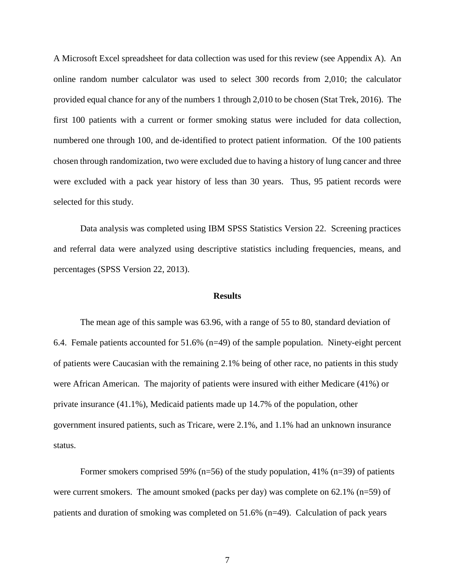A Microsoft Excel spreadsheet for data collection was used for this review (see Appendix A). An online random number calculator was used to select 300 records from 2,010; the calculator provided equal chance for any of the numbers 1 through 2,010 to be chosen (Stat Trek, 2016). The first 100 patients with a current or former smoking status were included for data collection, numbered one through 100, and de-identified to protect patient information. Of the 100 patients chosen through randomization, two were excluded due to having a history of lung cancer and three were excluded with a pack year history of less than 30 years. Thus, 95 patient records were selected for this study.

Data analysis was completed using IBM SPSS Statistics Version 22. Screening practices and referral data were analyzed using descriptive statistics including frequencies, means, and percentages (SPSS Version 22, 2013).

#### **Results**

The mean age of this sample was 63.96, with a range of 55 to 80, standard deviation of 6.4. Female patients accounted for 51.6% (n=49) of the sample population. Ninety-eight percent of patients were Caucasian with the remaining 2.1% being of other race, no patients in this study were African American. The majority of patients were insured with either Medicare (41%) or private insurance (41.1%), Medicaid patients made up 14.7% of the population, other government insured patients, such as Tricare, were 2.1%, and 1.1% had an unknown insurance status.

Former smokers comprised 59% ( $n=56$ ) of the study population, 41% ( $n=39$ ) of patients were current smokers. The amount smoked (packs per day) was complete on 62.1% (n=59) of patients and duration of smoking was completed on 51.6% (n=49). Calculation of pack years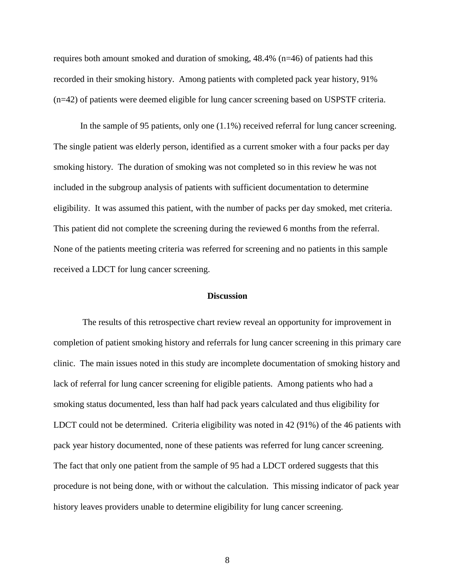requires both amount smoked and duration of smoking,  $48.4\%$  (n=46) of patients had this recorded in their smoking history. Among patients with completed pack year history, 91% (n=42) of patients were deemed eligible for lung cancer screening based on USPSTF criteria.

In the sample of 95 patients, only one (1.1%) received referral for lung cancer screening. The single patient was elderly person, identified as a current smoker with a four packs per day smoking history. The duration of smoking was not completed so in this review he was not included in the subgroup analysis of patients with sufficient documentation to determine eligibility. It was assumed this patient, with the number of packs per day smoked, met criteria. This patient did not complete the screening during the reviewed 6 months from the referral. None of the patients meeting criteria was referred for screening and no patients in this sample received a LDCT for lung cancer screening.

#### **Discussion**

The results of this retrospective chart review reveal an opportunity for improvement in completion of patient smoking history and referrals for lung cancer screening in this primary care clinic. The main issues noted in this study are incomplete documentation of smoking history and lack of referral for lung cancer screening for eligible patients. Among patients who had a smoking status documented, less than half had pack years calculated and thus eligibility for LDCT could not be determined. Criteria eligibility was noted in 42 (91%) of the 46 patients with pack year history documented, none of these patients was referred for lung cancer screening. The fact that only one patient from the sample of 95 had a LDCT ordered suggests that this procedure is not being done, with or without the calculation. This missing indicator of pack year history leaves providers unable to determine eligibility for lung cancer screening.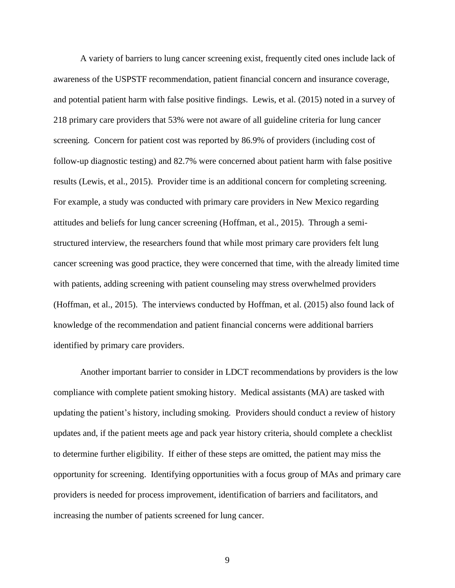A variety of barriers to lung cancer screening exist, frequently cited ones include lack of awareness of the USPSTF recommendation, patient financial concern and insurance coverage, and potential patient harm with false positive findings. Lewis, et al. (2015) noted in a survey of 218 primary care providers that 53% were not aware of all guideline criteria for lung cancer screening. Concern for patient cost was reported by 86.9% of providers (including cost of follow-up diagnostic testing) and 82.7% were concerned about patient harm with false positive results (Lewis, et al., 2015). Provider time is an additional concern for completing screening. For example, a study was conducted with primary care providers in New Mexico regarding attitudes and beliefs for lung cancer screening (Hoffman, et al., 2015). Through a semistructured interview, the researchers found that while most primary care providers felt lung cancer screening was good practice, they were concerned that time, with the already limited time with patients, adding screening with patient counseling may stress overwhelmed providers (Hoffman, et al., 2015). The interviews conducted by Hoffman, et al. (2015) also found lack of knowledge of the recommendation and patient financial concerns were additional barriers identified by primary care providers.

Another important barrier to consider in LDCT recommendations by providers is the low compliance with complete patient smoking history. Medical assistants (MA) are tasked with updating the patient's history, including smoking. Providers should conduct a review of history updates and, if the patient meets age and pack year history criteria, should complete a checklist to determine further eligibility. If either of these steps are omitted, the patient may miss the opportunity for screening. Identifying opportunities with a focus group of MAs and primary care providers is needed for process improvement, identification of barriers and facilitators, and increasing the number of patients screened for lung cancer.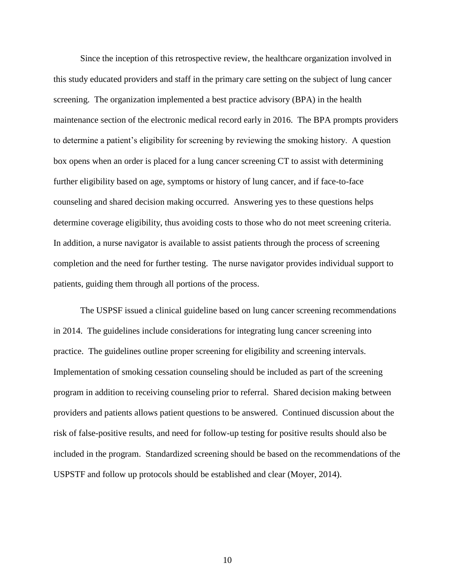Since the inception of this retrospective review, the healthcare organization involved in this study educated providers and staff in the primary care setting on the subject of lung cancer screening. The organization implemented a best practice advisory (BPA) in the health maintenance section of the electronic medical record early in 2016. The BPA prompts providers to determine a patient's eligibility for screening by reviewing the smoking history. A question box opens when an order is placed for a lung cancer screening CT to assist with determining further eligibility based on age, symptoms or history of lung cancer, and if face-to-face counseling and shared decision making occurred. Answering yes to these questions helps determine coverage eligibility, thus avoiding costs to those who do not meet screening criteria. In addition, a nurse navigator is available to assist patients through the process of screening completion and the need for further testing. The nurse navigator provides individual support to patients, guiding them through all portions of the process.

The USPSF issued a clinical guideline based on lung cancer screening recommendations in 2014. The guidelines include considerations for integrating lung cancer screening into practice. The guidelines outline proper screening for eligibility and screening intervals. Implementation of smoking cessation counseling should be included as part of the screening program in addition to receiving counseling prior to referral. Shared decision making between providers and patients allows patient questions to be answered. Continued discussion about the risk of false-positive results, and need for follow-up testing for positive results should also be included in the program. Standardized screening should be based on the recommendations of the USPSTF and follow up protocols should be established and clear (Moyer, 2014).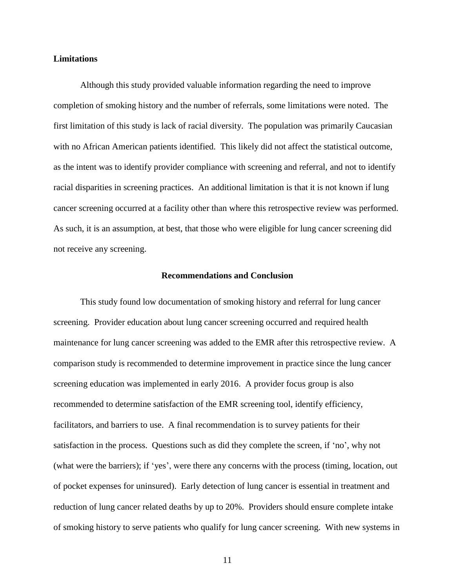#### **Limitations**

Although this study provided valuable information regarding the need to improve completion of smoking history and the number of referrals, some limitations were noted. The first limitation of this study is lack of racial diversity. The population was primarily Caucasian with no African American patients identified. This likely did not affect the statistical outcome, as the intent was to identify provider compliance with screening and referral, and not to identify racial disparities in screening practices. An additional limitation is that it is not known if lung cancer screening occurred at a facility other than where this retrospective review was performed. As such, it is an assumption, at best, that those who were eligible for lung cancer screening did not receive any screening.

#### **Recommendations and Conclusion**

This study found low documentation of smoking history and referral for lung cancer screening. Provider education about lung cancer screening occurred and required health maintenance for lung cancer screening was added to the EMR after this retrospective review. A comparison study is recommended to determine improvement in practice since the lung cancer screening education was implemented in early 2016. A provider focus group is also recommended to determine satisfaction of the EMR screening tool, identify efficiency, facilitators, and barriers to use. A final recommendation is to survey patients for their satisfaction in the process. Questions such as did they complete the screen, if 'no', why not (what were the barriers); if 'yes', were there any concerns with the process (timing, location, out of pocket expenses for uninsured). Early detection of lung cancer is essential in treatment and reduction of lung cancer related deaths by up to 20%. Providers should ensure complete intake of smoking history to serve patients who qualify for lung cancer screening. With new systems in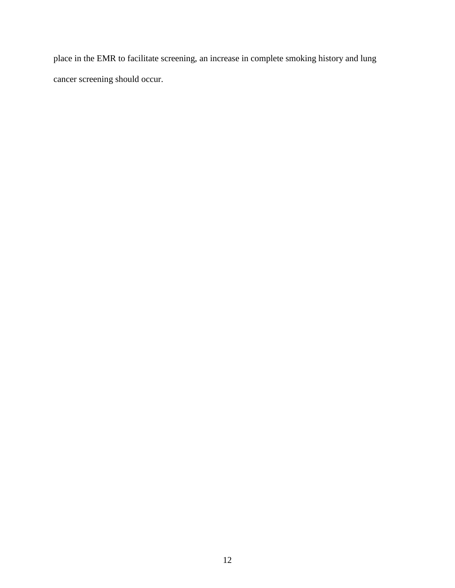place in the EMR to facilitate screening, an increase in complete smoking history and lung cancer screening should occur.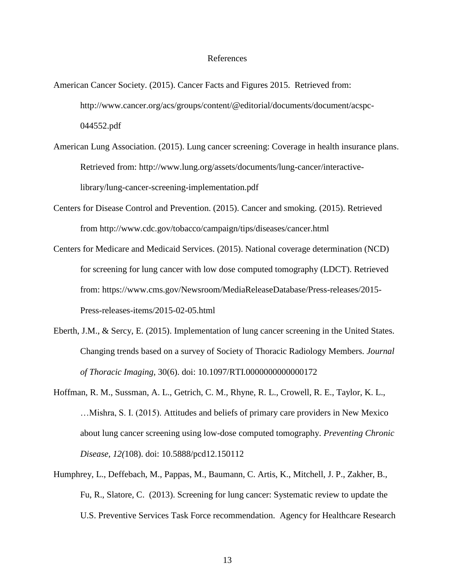#### References

- American Cancer Society. (2015). Cancer Facts and Figures 2015. Retrieved from: http://www.cancer.org/acs/groups/content/@editorial/documents/document/acspc-044552.pdf
- American Lung Association. (2015). Lung cancer screening: Coverage in health insurance plans. Retrieved from: http://www.lung.org/assets/documents/lung-cancer/interactivelibrary/lung-cancer-screening-implementation.pdf
- Centers for Disease Control and Prevention. (2015). Cancer and smoking. (2015). Retrieved from http://www.cdc.gov/tobacco/campaign/tips/diseases/cancer.html
- Centers for Medicare and Medicaid Services. (2015). National coverage determination (NCD) for screening for lung cancer with low dose computed tomography (LDCT). Retrieved from: https://www.cms.gov/Newsroom/MediaReleaseDatabase/Press-releases/2015- Press-releases-items/2015-02-05.html
- Eberth, J.M., & Sercy, E. (2015). Implementation of lung cancer screening in the United States. Changing trends based on a survey of Society of Thoracic Radiology Members. *Journal of Thoracic Imaging,* 30(6). doi: 10.1097/RTI.0000000000000172
- Hoffman, R. M., Sussman, A. L., Getrich, C. M., Rhyne, R. L., Crowell, R. E., Taylor, K. L., …Mishra, S. I. (2015). Attitudes and beliefs of primary care providers in New Mexico about lung cancer screening using low-dose computed tomography. *Preventing Chronic Disease, 12(*108). doi: 10.5888/pcd12.150112
- Humphrey, L., Deffebach, M., Pappas, M., Baumann, C. Artis, K., Mitchell, J. P., Zakher, B., Fu, R., Slatore, C. (2013). Screening for lung cancer: Systematic review to update the U.S. Preventive Services Task Force recommendation. Agency for Healthcare Research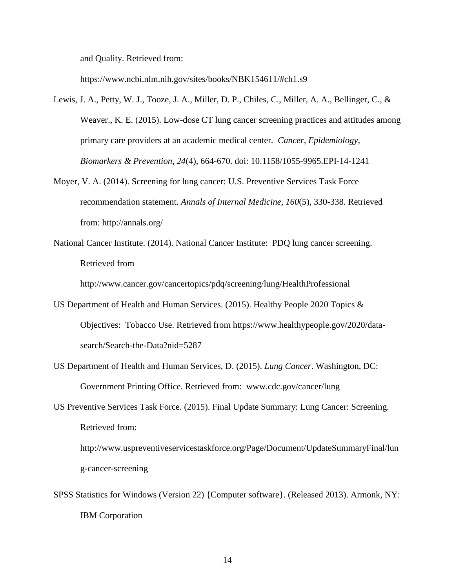and Quality. Retrieved from:

https://www.ncbi.nlm.nih.gov/sites/books/NBK154611/#ch1.s9

- Lewis, J. A., Petty, W. J., Tooze, J. A., Miller, D. P., Chiles, C., Miller, A. A., Bellinger, C., & Weaver., K. E. (2015). Low-dose CT lung cancer screening practices and attitudes among primary care providers at an academic medical center. *Cancer, Epidemiology, Biomarkers & Prevention, 24*(4), 664-670. doi: 10.1158/1055-9965.EPI-14-1241
- Moyer, V. A. (2014). Screening for lung cancer: U.S. Preventive Services Task Force recommendation statement. *Annals of Internal Medicine, 160*(5), 330-338. Retrieved from: http://annals.org/
- National Cancer Institute. (2014). National Cancer Institute: PDQ lung cancer screening. Retrieved from

http://www.cancer.gov/cancertopics/pdq/screening/lung/HealthProfessional

- US Department of Health and Human Services. (2015). Healthy People 2020 Topics & Objectives: Tobacco Use. Retrieved from https://www.healthypeople.gov/2020/datasearch/Search-the-Data?nid=5287
- US Department of Health and Human Services, D. (2015). *Lung Cancer*. Washington, DC: Government Printing Office. Retrieved from: www.cdc.gov/cancer/lung
- US Preventive Services Task Force. (2015). Final Update Summary: Lung Cancer: Screening. Retrieved from:

http://www.uspreventiveservicestaskforce.org/Page/Document/UpdateSummaryFinal/lun g-cancer-screening

SPSS Statistics for Windows (Version 22) {Computer software}. (Released 2013). Armonk, NY: IBM Corporation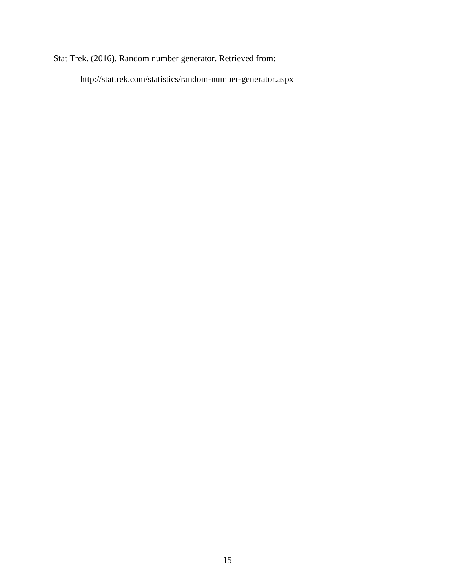Stat Trek. (2016). Random number generator. Retrieved from:

http://stattrek.com/statistics/random-number-generator.aspx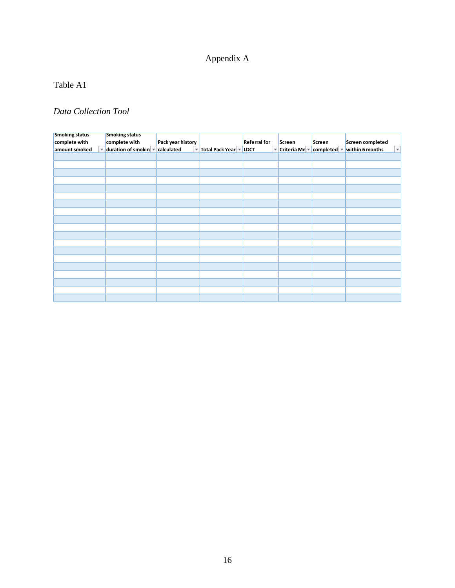# Appendix A

# Table A1

## *Data Collection Tool*

| <b>Smoking status</b> | <b>Smoking status</b>                                        |                                       |                        |                         |               |             |                                            |
|-----------------------|--------------------------------------------------------------|---------------------------------------|------------------------|-------------------------|---------------|-------------|--------------------------------------------|
| complete with         | complete with                                                | Pack year history                     |                        | <b>Referral for</b>     | Screen        | Screen      | Screen completed                           |
| amount smoked         | $\blacktriangledown$ duration of smokin $\blacktriangledown$ | calculated<br>$\overline{\mathbf{v}}$ | Total Pack Year   LDCT | $\overline{\mathbf{v}}$ | Criteria Me - | completed - | within 6 months<br>$\overline{\mathbf{v}}$ |
|                       |                                                              |                                       |                        |                         |               |             |                                            |
|                       |                                                              |                                       |                        |                         |               |             |                                            |
|                       |                                                              |                                       |                        |                         |               |             |                                            |
|                       |                                                              |                                       |                        |                         |               |             |                                            |
|                       |                                                              |                                       |                        |                         |               |             |                                            |
|                       |                                                              |                                       |                        |                         |               |             |                                            |
|                       |                                                              |                                       |                        |                         |               |             |                                            |
|                       |                                                              |                                       |                        |                         |               |             |                                            |
|                       |                                                              |                                       |                        |                         |               |             |                                            |
|                       |                                                              |                                       |                        |                         |               |             |                                            |
|                       |                                                              |                                       |                        |                         |               |             |                                            |
|                       |                                                              |                                       |                        |                         |               |             |                                            |
|                       |                                                              |                                       |                        |                         |               |             |                                            |
|                       |                                                              |                                       |                        |                         |               |             |                                            |
|                       |                                                              |                                       |                        |                         |               |             |                                            |
|                       |                                                              |                                       |                        |                         |               |             |                                            |
|                       |                                                              |                                       |                        |                         |               |             |                                            |
|                       |                                                              |                                       |                        |                         |               |             |                                            |
|                       |                                                              |                                       |                        |                         |               |             |                                            |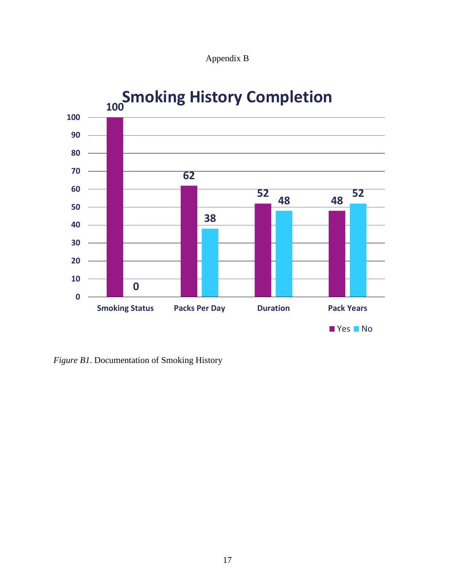



*Figure B1*. Documentation of Smoking History